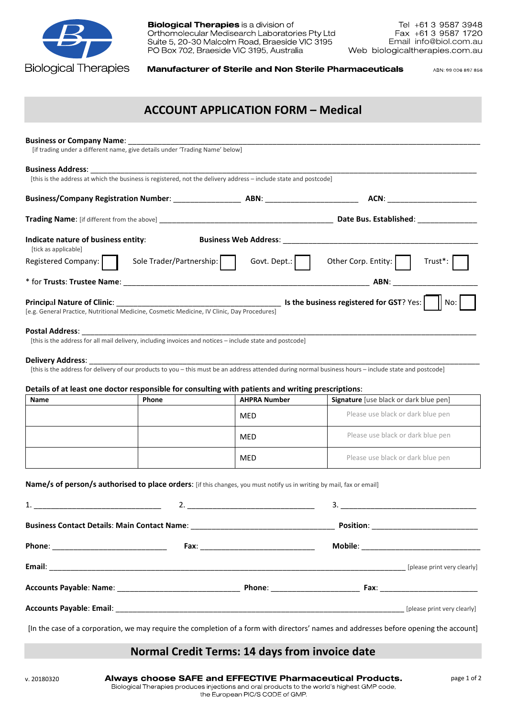

**Biological Therapies** is a division of Orthomolecular Medisearch Laboratories Pty Ltd Suite 5, 20-30 Malcolm Road, Braeside VIC 3195 PO Box 702, Braeside VIC 3195, Australia

**Manufacturer of Sterile and Non Sterile Pharmaceuticals** 

ABN: 99 006 897 856

## ACCOUNT APPLICATION FORM – Medical

| [if trading under a different name, give details under 'Trading Name' below]                                          |                          |                     |                                                                                                                                        |  |  |
|-----------------------------------------------------------------------------------------------------------------------|--------------------------|---------------------|----------------------------------------------------------------------------------------------------------------------------------------|--|--|
|                                                                                                                       |                          |                     |                                                                                                                                        |  |  |
| [this is the address at which the business is registered, not the delivery address - include state and postcode]      |                          |                     |                                                                                                                                        |  |  |
|                                                                                                                       |                          |                     |                                                                                                                                        |  |  |
|                                                                                                                       |                          |                     |                                                                                                                                        |  |  |
| Indicate nature of business entity:<br>[tick as applicable]                                                           |                          |                     |                                                                                                                                        |  |  |
| Registered Company: $\ \cdot\ $                                                                                       | Sole Trader/Partnership: | Govt. Dept.:        | Other Corp. Entity:  <br>Trust*:                                                                                                       |  |  |
|                                                                                                                       |                          |                     |                                                                                                                                        |  |  |
| [e.g. General Practice, Nutritional Medicine, Cosmetic Medicine, IV Clinic, Day Procedures]                           |                          |                     |                                                                                                                                        |  |  |
| Details of at least one doctor responsible for consulting with patients and writing prescriptions:                    |                          |                     |                                                                                                                                        |  |  |
| Name                                                                                                                  | Phone                    | <b>AHPRA Number</b> | Signature [use black or dark blue pen]                                                                                                 |  |  |
|                                                                                                                       |                          | MED                 | Please use black or dark blue pen                                                                                                      |  |  |
|                                                                                                                       |                          | MED                 | Please use black or dark blue pen                                                                                                      |  |  |
|                                                                                                                       |                          | MED                 | Please use black or dark blue pen                                                                                                      |  |  |
| Name/s of person/s authorised to place orders: [if this changes, you must notify us in writing by mail, fax or email] |                          |                     |                                                                                                                                        |  |  |
| 1.                                                                                                                    |                          |                     | З.                                                                                                                                     |  |  |
|                                                                                                                       |                          |                     |                                                                                                                                        |  |  |
|                                                                                                                       |                          |                     |                                                                                                                                        |  |  |
|                                                                                                                       |                          |                     |                                                                                                                                        |  |  |
|                                                                                                                       |                          |                     |                                                                                                                                        |  |  |
|                                                                                                                       |                          |                     |                                                                                                                                        |  |  |
|                                                                                                                       |                          |                     | [In the case of a corporation, we may require the completion of a form with directors' names and addresses before opening the account] |  |  |

## Normal Credit Terms: 14 days from invoice date